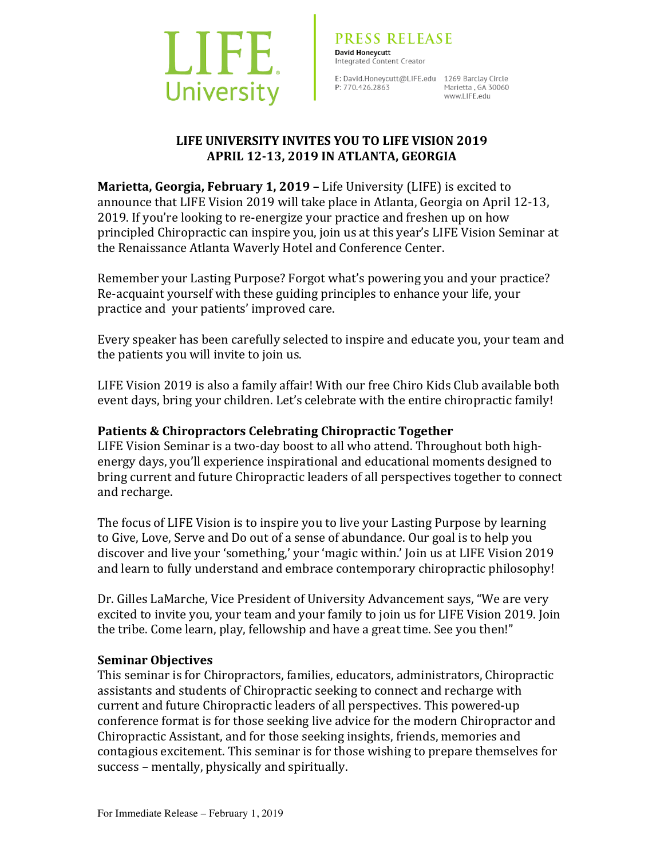

E: David.Honeycutt@LIFE.edu 1269 Barclay Circle P: 770.426.2863

Marietta . GA 30060 www.l IFF.edu

## LIFE UNIVERSITY INVITES YOU TO LIFE VISION 2019 **APRIL 12-13, 2019 IN ATLANTA, GEORGIA**

**Marietta, Georgia, February 1, 2019 – Life University (LIFE) is excited to** announce that LIFE Vision 2019 will take place in Atlanta, Georgia on April 12-13, 2019. If you're looking to re-energize your practice and freshen up on how principled Chiropractic can inspire you, join us at this year's LIFE Vision Seminar at the Renaissance Atlanta Waverly Hotel and Conference Center.

Remember your Lasting Purpose? Forgot what's powering you and your practice? Re-acquaint yourself with these guiding principles to enhance your life, your practice and your patients' improved care.

Every speaker has been carefully selected to inspire and educate you, your team and the patients you will invite to join us.

LIFE Vision 2019 is also a family affair! With our free Chiro Kids Club available both event days, bring your children. Let's celebrate with the entire chiropractic family!

# **Patients & Chiropractors Celebrating Chiropractic Together**

LIFE Vision Seminar is a two-day boost to all who attend. Throughout both highenergy days, you'll experience inspirational and educational moments designed to bring current and future Chiropractic leaders of all perspectives together to connect and recharge.

The focus of LIFE Vision is to inspire you to live your Lasting Purpose by learning to Give, Love, Serve and Do out of a sense of abundance. Our goal is to help you discover and live your 'something,' your 'magic within.' Join us at LIFE Vision 2019 and learn to fully understand and embrace contemporary chiropractic philosophy!

Dr. Gilles LaMarche, Vice President of University Advancement says, "We are very excited to invite you, your team and your family to join us for LIFE Vision 2019. Join the tribe. Come learn, play, fellowship and have a great time. See you then!"

# **Seminar Objectives**

This seminar is for Chiropractors, families, educators, administrators, Chiropractic assistants and students of Chiropractic seeking to connect and recharge with current and future Chiropractic leaders of all perspectives. This powered-up conference format is for those seeking live advice for the modern Chiropractor and Chiropractic Assistant, and for those seeking insights, friends, memories and contagious excitement. This seminar is for those wishing to prepare themselves for success – mentally, physically and spiritually.